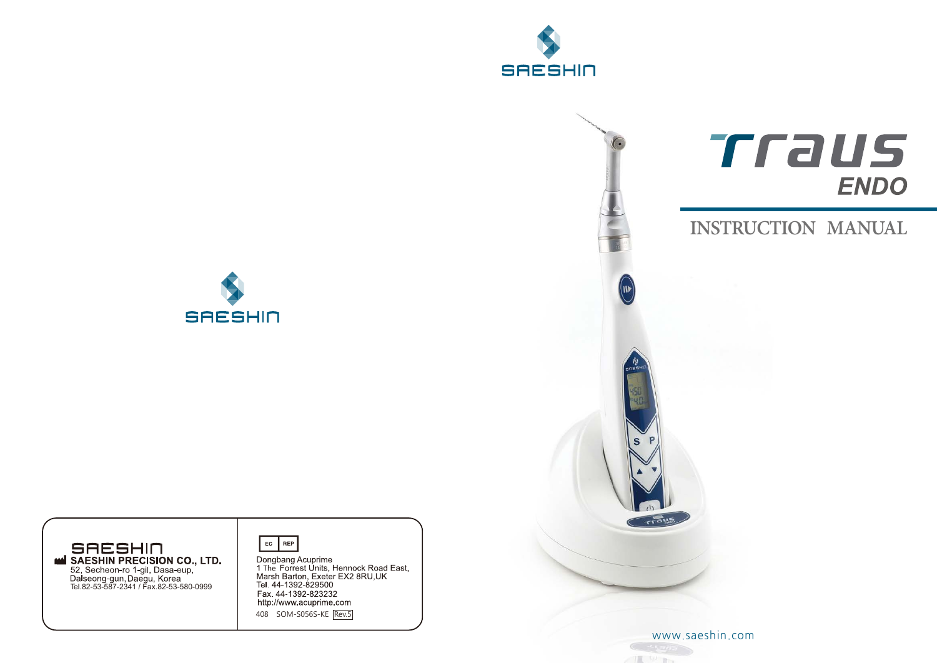



# Traus **ENDO**

# **INSTRUCTION MANUAL**





Dongbang Acuprime<br>1 The Forrest Units, Hennock Road East,<br>Marsh Barton, Exeter EX2 8RU,UK<br>Tel. 44-1392-829500 Fax. 44-1392-823300<br>http://www.acuprime.com 408 SOM-S056S-KE Rev.5

 $\frac{1}{2}$   $\frac{1}{2}$   $\frac{1}{2}$   $\frac{1}{2}$   $\frac{1}{2}$   $\frac{1}{2}$   $\frac{1}{2}$   $\frac{1}{2}$   $\frac{1}{2}$   $\frac{1}{2}$   $\frac{1}{2}$   $\frac{1}{2}$   $\frac{1}{2}$   $\frac{1}{2}$   $\frac{1}{2}$   $\frac{1}{2}$   $\frac{1}{2}$   $\frac{1}{2}$   $\frac{1}{2}$   $\frac{1}{2}$   $\frac{1}{2}$   $\frac{1}{2}$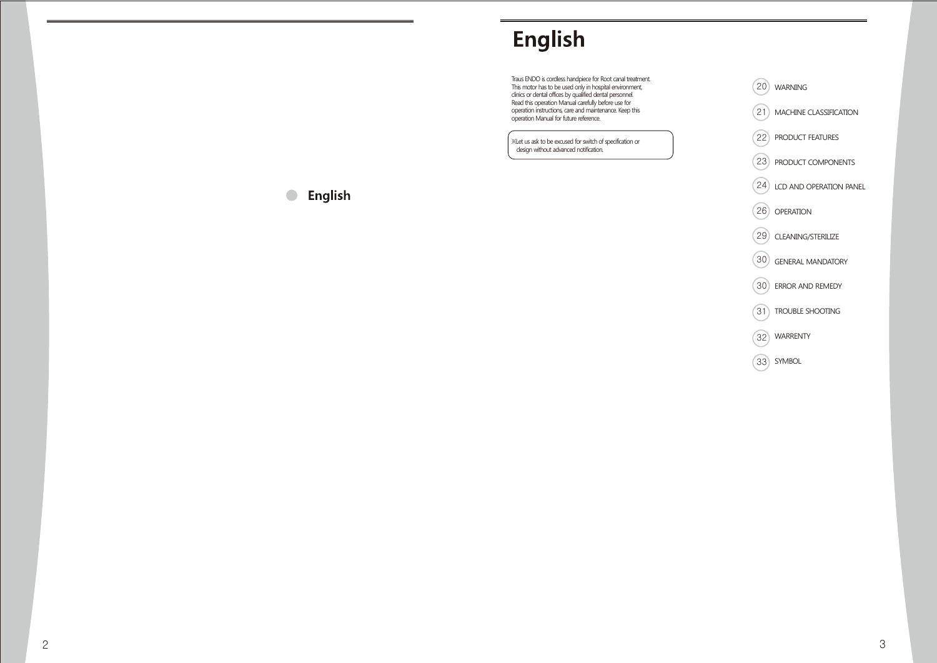# English

Traus ENDO is cordless handpiece for Root canal treatment. This motor has to be used only in hospital environment, clinics or dental offices by qualified dental personnel. Read this operation Manual carefully before use for operation instructions, care and maintenance. Keep this operation Manual for future reference.

※Let us ask to be excused for switch of specification or design without advanced notification.



# **C** English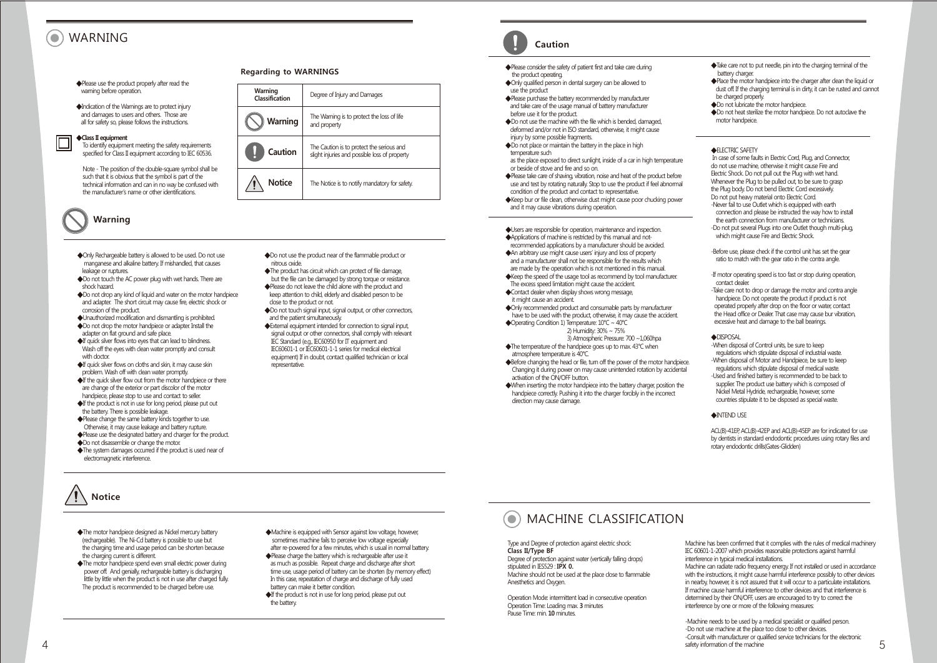# WARNING

#### ◆Please use the product properly after read the warning before operation.

◆Indication of the Warnings are to protect injury and damages to users and others. Those are all for safety so, please follows the instructions.

#### ◆**Class II equipment**

 To identify equipment meeting the safety requirements specified for Class II equipment according to IEC 60536.

 Note - The position of the double-square symbol shall be such that it is obvious that the symbol is part of the technical information and can in no way be confused with the manufacturer's name or other identifications.

# **Warning**

- ◆Only Rechargeable battery is allowed to be used. Do not use manganese and alkaline battery. If mishandled, that causes leakage or ruptures.
- ◆Do not touch the AC power plug with wet hands. There are shock hazard.
- ◆Do not drop any kind of liquid and water on the motor handpiece and adapter. The short circuit may cause fire, electric shock or corrosion of the product.
- ◆Unauthorized modification and dismantling is prohibited. ◆Do not drop the motor handpiece or adapter. Install the
- adapter on flat ground and safe place.
- ◆If quick silver flows into eyes that can lead to blindness. Wash off the eyes with clean water promptly and consult with doctor.
- ◆If quick silver flows on cloths and skin, it may cause skin problem. Wash off with clean water promptly.
- ◆If the quick silver flow out from the motor handpiece or there are change of the exterior or part discolor of the motor handpiece, please stop to use and contact to seller.
- ◆If the product is not in use for long period, please put out the battery. There is possible leakage.
- ◆Please change the same battery kinds together to use. Otherwise, it may cause leakage and battery rupture.
- ◆Please use the designated battery and charger for the product.
- ◆Do not disassemble or change the motor.
- ◆The system damages occurred if the product is used near of electromagnetic interference.

# **Notice**

- ◆The motor handpiece designed as Nickel mercury battery (rechargeable). The Ni-Cd battery is possible to use but the charging time and usage period can be shorten because the charging current is different.
- ◆The motor handpiece spend even small electric power during power off. And genially, rechargeable battery is discharging little by little when the product is not in use after charged fully. The product is recommended to be charged before use.

### **Regarding to WARNINGS**



- ◆Do not use the product near of the flammable product or nitrous oxide.
- ◆The product has circuit which can protect of file damage, but the file can be damaged by strong torque or resistance. ◆Please do not leave the child alone with the product and keep attention to child, elderly and disabled person to be close to the product or not.
- ◆Do not touch signal input, signal output, or other connectors, and the patient simultaneously.
- ◆External equipment intended for connection to signal input, signal output or other connectors, shall comply with relevant IEC Standard (e.g., IEC60950 for IT equipment and IEC60601-1 or IEC60601-1-1 series for medical electrical equipment) If in doubt, contact qualified technician or local representative.

◆Machine is equipped with Sensor against low voltage, however, sometimes machine fails to perceive low voltage especially after re-powered for a few minutes, which is usual in normal battery. ◆Please charge the battery which is rechargeable after use it as much as possible. Repeat charge and discharge after short time use, usage period of battery can be shorten (by memory effect) In this case, repeatation of charge and discharge of fully used

◆If the product is not in use for long period, please put out

battery can make it better condition.

the battery.

# **Caution**

- ◆Please consider the safety of patient first and take care during the product operating.
- ◆Only qualified person in dental surgery can be allowed to use the product
- ◆Please purchase the battery recommended by manufacturer and take care of the usage manual of battery manufacturer before use it for the product.
- ◆Do not use the machine with the file which is bended, damaged, deformed and/or not in ISO standard, otherwise, it might cause injury by some possible fragments.
- ◆Do not place or maintain the battery in the place in high temperature such
- as the place exposed to direct sunlight, inside of a car in high temperature or beside of stove and fire and so on.
- ◆Please take care of shaving, vibration, noise and heat of the product before use and test by rotating naturally. Stop to use the product if feel abnormal condition of the product and contact to representative.
- ◆Keep bur or file clean, otherwise dust might cause poor chucking power and it may cause vibrations during operation.
- ◆Users are responsible for operation, maintenance and inspection. ◆Applications of machine is restricted by this manual and not-
- recommended applications by a manufacturer should be avoided. ◆An arbitrary use might cause users' injury and loss of property
- and a manufacturer shall not be responsible for the results which are made by the operation which is not mentioned in this manual. ◆Keep the speed of the usage tool as recommend by tool manufacturer. The excess speed limitation might cause the accident.
- ◆Contact dealer when display shows wrong message, it might cause an accident.
- ◆Only recommended product and consumable parts by manufacturer
- have to be used with the product, otherwise, it may cause the accident. ◆Operating Condition 1) Temperature: 10°C ~ 40°C
	- 2) Humidity: 30% ~ 75% 3) Atmospheric Pressure: 700 ~1,060hpa
- ◆The temperature of the handpiece goes up to max. 43°C when atmosphere temperature is 40°C.
- ◆Before changing the head or file, turn off the power of the motor handpiece. Changing it during power on may cause unintended rotation by accidental activation of the ON/OFF button.
- ◆When inserting the motor handpiece into the battery charger, position the handpiece correctly. Pushing it into the charger forcibly in the incorrect direction may cause damage.

#### **AINTEND LICE**

**◆FLECTRIC SAFETY** 

hattery charger

 be charged properly. ◆Do not lubricate the motor handpiece.

motor handpeice.

contact dealer.

◆DISPOSAL

 In case of some faults in Electric Cord, Plug, and Connector, do not use machine, otherwise it might cause Fire and Electric Shock. Do not pull out the Plug with wet hand. Whenever the Plug to be pulled out, to be sure to grasp the Plug body. Do not bend Electric Cord excessively. Do not put heavy material onto Electric Cord. -Never fail to use Outlet which is equipped with earth connection and please be instructed the way how to install the earth connection from manufacturer or technicians. -Do not put several Plugs into one Outlet though multi-plug, which might cause Fire and Electric Shock.

◆Take care not to put needle, pin into the charging terminal of the

◆Do not heat sterilize the motor handpiece. Do not autoclave the

◆Place the motor handpiece into the charger after clean the liquid or dust off. If the charging terminal is in dirty, it can be rusted and cannot

-Before use, please check if the control unit has set the gear ratio to match with the gear ratio in the contra angle. -If motor operating speed is too fast or stop during operation,

-Take care not to drop or damage the motor and contra angle handpiece. Do not operate the product if product is not operated properly after drop on the floor or water, contact the Head office or Dealer. That case may cause bur vibration, excessive heat and damage to the ball bearings.

-When disposal of Control units, be sure to keep regulations which stipulate disposal of industrial waste. -When disposal of Motor and Handpiece, be sure to keep regulations which stipulate disposal of medical waste. -Used and finished battery is recommended to be back to supplier. The product use battery which is composed of Nickel Metal Hydride, rechargeable, however, some countries stipulate it to be disposed as special waste.

ACL(B)-41EP, ACL(B)-42EP and ACL(B)-45EP are for indicated for use by dentists in standard endodontic procedures using rotary files and rotary endodontic drills(Gates-Glidden)

# MACHINE CLASSIFICATION

Type and Degree of protection against electric shock: **Class II/Type BF** Degree of protection against water (vertically falling drops) stipulated in IES529 : **IPX 0.** Machine should not be used at the place close to flammable Anesthetics and Oxygen.

Operation Mode: intermittent load in consecutive operation Operation Time: Loading max. **3** minutes Pause Time: min. **10** minutes.

Machine has been confirmed that it complies with the rules of medical machinery IEC 60601-1-2007 which provides reasonable protections against harmful interference in typical medical installations.

Machine can radiate radio frequency energy. If not installed or used in accordance with the instructions, it might cause harmful interference possibly to other devices in nearby, however, it is not assured that it will occur to a particulate installations. If machine cause harmful interference to other devices and that interference is determined by their ON/OFF, users are encouraged to try to correct the interference by one or more of the following measures:

-Machine needs to be used by a medical specialist or qualified person. -Do not use machine at the place too close to other devices. -Consult with manufacturer or qualified service technicians for the electronic safety information of the machine

5

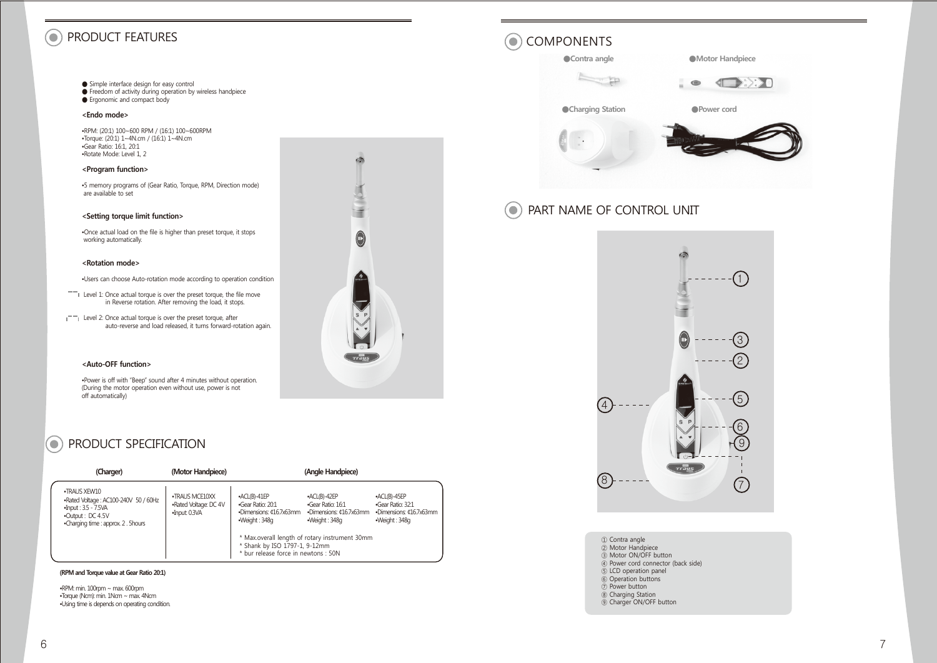#### $\left( \bullet \right)$ PRODUCT FEATURES **COMPONENTS**

- Simple interface design for easy control<br>● Freedom of activity during operation by wireless handpiece
- Ergonomic and compact body

#### **<Endo mode>**

•RPM: (20:1) 100~600 RPM / (16:1) 100~600RPM •Torque: (20:1) 1~4N.cm / (16:1) 1~4N.cm •Gear Ratio: 16:1, 20:1 •Rotate Mode: Level 1, 2

### **<Program function>**

•5 memory programs of (Gear Ratio, Torque, RPM, Direction mode) are available to set

### **<Setting torque limit function>**

•Once actual load on the file is higher than preset torque, it stops working automatically.

#### **<Rotation mode>**

•Users can choose Auto-rotation mode according to operation condition

- $-$  Level 1: Once actual torque is over the preset torque, the file move in Reverse rotation. After removing the load, it stops.
- $\Box$  Level 2: Once actual torque is over the preset torque, after auto-reverse and load released, it turns forward-rotation again.

### **<Auto-OFF function>**

•Power is off with "Beep" sound after 4 minutes without operation. (During the motor operation even without use, power is not off automatically)

# **CO** PRODUCT SPECIFICATION

| (Charger)                                                                                                                                | (Motor Handpiece)                                        |                                                                                                                         | (Angle Handpiece)                                                               |                                                                               |
|------------------------------------------------------------------------------------------------------------------------------------------|----------------------------------------------------------|-------------------------------------------------------------------------------------------------------------------------|---------------------------------------------------------------------------------|-------------------------------------------------------------------------------|
| •TRAUS XFW10<br>.Rated Voltage: AC100-240V 50 / 60Hz<br>$-Input: 3.5 - 7.5VA$<br>•Output: DC 4.5V<br>•Charging time : approx. 2. 5 hours | •TRAUS MCE10XX<br>.Rated Voltage: DC 4V<br>•Input: 0.3VA | $-ACL(B)-41EP$<br>•Gear Ratio: 20:1<br>•Dimensions: ¢16.7x63mm<br>•Weiaht: 348a                                         | $-ACL(B)-42EP$<br>•Gear Ratio: 16:1<br>•Dimensions: ¢16.7x63mm<br>•Weiaht: 348a | •ACL(B)-45EP<br>·Gear Ratio: 32:1<br>•Dimensions: ¢16.7x63mm<br>•Weiaht: 348a |
|                                                                                                                                          |                                                          | * Max.overall length of rotary instrument 30mm<br>* Shank by ISO 1797-1, 9-12mm<br>* bur release force in newtons : 50N |                                                                                 |                                                                               |

### **(RPM and Torque value at Gear Ratio 20:1)**

•RPM: min. 100rpm ~ max. 600rpm •Torque (Ncm): min. 1Ncm ~ max. 4Ncm •Using time is depends on operating condition.





#### PART NAME OF CONTROL UNIT  $\bullet$



## ① Contra angle ② Motor Handpiece

- ③ Motor ON/OFF button
- ④ Power cord connector (back side)
- ⑤ LCD operation panel
- ⑥ Operation buttons
- ⑦ Power button
- ⑧ Charging Station
- ⑨ Charger ON/OFF button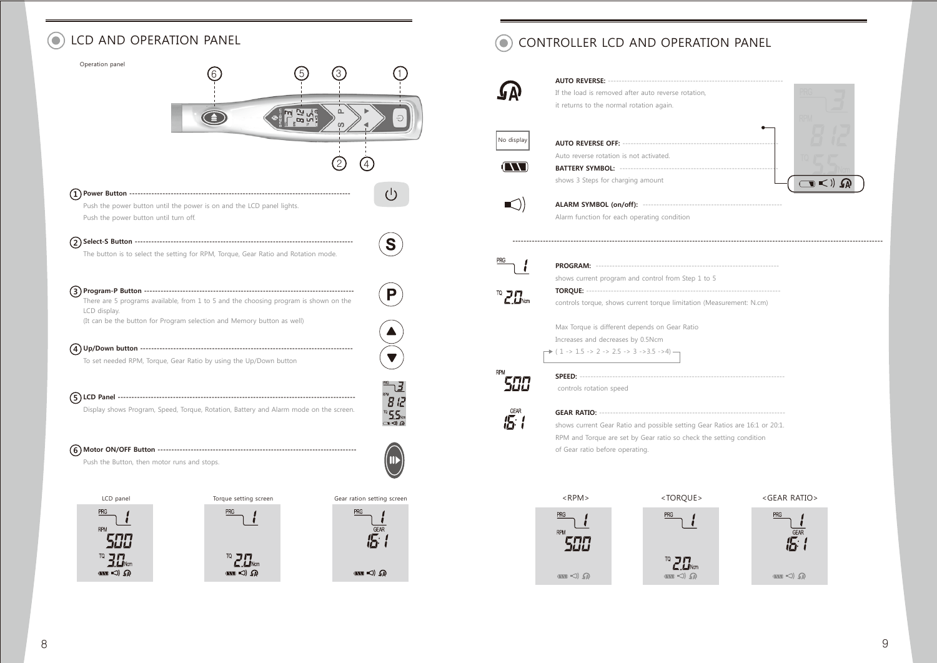# $\odot$

| Operation panel                             |                                                                                       |                       |     |                                                               |
|---------------------------------------------|---------------------------------------------------------------------------------------|-----------------------|-----|---------------------------------------------------------------|
|                                             |                                                                                       |                       |     |                                                               |
|                                             |                                                                                       |                       | 2   |                                                               |
|                                             |                                                                                       |                       |     | $\left( \begin{smallmatrix} 1 \\ 1 \end{smallmatrix} \right)$ |
|                                             | Push the power button until the power is on and the LCD panel lights.                 |                       |     |                                                               |
| Push the power button until turn off.       |                                                                                       |                       |     |                                                               |
|                                             |                                                                                       |                       |     |                                                               |
| $\overline{2}$                              |                                                                                       |                       |     | S                                                             |
|                                             | The button is to select the setting for RPM, Torque, Gear Ratio and Rotation mode.    |                       |     |                                                               |
|                                             |                                                                                       |                       |     |                                                               |
|                                             |                                                                                       |                       |     |                                                               |
|                                             | There are 5 programs available, from 1 to 5 and the choosing program is shown on the  |                       |     |                                                               |
| LCD display.                                | (It can be the button for Program selection and Memory button as well)                |                       |     |                                                               |
|                                             |                                                                                       |                       |     |                                                               |
|                                             |                                                                                       |                       |     |                                                               |
|                                             | To set needed RPM, Torque, Gear Ratio by using the Up/Down button                     |                       |     |                                                               |
|                                             |                                                                                       |                       |     |                                                               |
|                                             |                                                                                       |                       |     |                                                               |
|                                             |                                                                                       |                       |     |                                                               |
|                                             | Display shows Program, Speed, Torque, Rotation, Battery and Alarm mode on the screen. |                       |     |                                                               |
|                                             |                                                                                       |                       |     |                                                               |
|                                             |                                                                                       |                       |     |                                                               |
|                                             |                                                                                       |                       |     |                                                               |
| Push the Button, then motor runs and stops. |                                                                                       |                       |     |                                                               |
|                                             |                                                                                       |                       |     |                                                               |
|                                             |                                                                                       |                       |     |                                                               |
| LCD panel                                   |                                                                                       | Torque setting screen |     | Gear ration setting screen                                    |
| PRG                                         | <b>PRG</b>                                                                            |                       | PRG |                                                               |
| <b>RPM</b>                                  |                                                                                       |                       |     |                                                               |
|                                             |                                                                                       |                       |     |                                                               |

 $T^{\alpha}$  2.0 km

 $\left( \sum_{i=1}^{n} a_i \right)$ 

 $\mathbf{w} \triangleleft \mathbf{0}$ 

# LCD AND OPERATION PANEL **CONTROLLER LCD AND OPERATION PANEL**



 $T^{\alpha}$   $\Xi$   $\Xi$ <sub>Ncm</sub>

 $\left( \sum_{i=1}^{n}$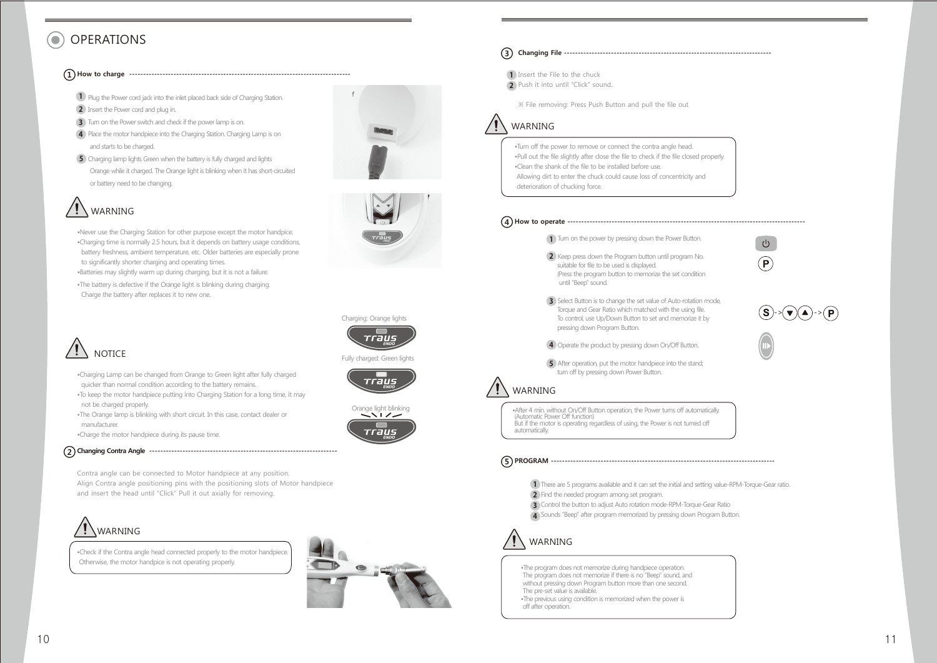# OPERATIONS

## **1 How to charge --------------------------------------------------------------------------------**

**1** Plug the Power cord jack into the inlet placed back side of Charging Station.

- **2** Insert the Power cord and plug in.
- **3** Turn on the Power switch and check if the power lamp is on.
- **4** Place the motor handpiece into the Charging Station. Charging Lamp is on and starts to be charged.
- **5** Charging lamp lights Green when the battery is fully charged and lights Orange while it charged. The Orange light is blinking when it has short-circuited or battery need to be changing.

# WARNING

•Never use the Charging Station for other purpose except the motor handpice. •Charging time is normally 2.5 hours, but it depends on battery usage conditions, battery freshness, ambient temperature, etc. Older batteries are especially prone to significantly shorter charging and operating times. •Batteries may slightly warm up during charging, but it is not a failure.

•The battery is defective if the Orange light is blinking during charging. Charge the battery after replaces it to new one.



- •Charging Lamp can be changed from Orange to Green light after fully charged quicker than normal condition according to the battery remains.
- •To keep the motor handpiece putting into Charging Station for a long time, it may not be charged properly.
- •The Orange lamp is blinking with short circuit. In this case, contact dealer or manufacturer.

•Charge the motor handpiece during its pause time.

## **2 Changing Contra Angle --------------------------------------------------------------------**

Contra angle can be connected to Motor handpiece at any position. Align Contra angle positioning pins with the positioning slots of Motor handpiece and insert the head until "Click" Pull it out axially for removing.



•Check if the Contra angle head connected properly to the motor handpiece. Otherwise, the motor handpice is not operating properly.



Charging: Orange lights

Fully charged: Green lights

rraus

Orange light blinking

*rran*e

rraus

## **3 Changing File ---------------------------------------------------------------------------**

Insert the File to the chuck **1** Push it into until "Click" sound. **2**

※ File removing: Press Push Button and pull the file out



- •Turn off the power to remove or connect the contra angle head.
- •Pull out the file slightly after close the file to check if the file closed properly. •Clean the shank of the file to be installed before use.
- Allowing dirt to enter the chuck could cause loss of concentricity and
- deterioration of chucking force.



- 2. Keep press down the Program button until program No. **2** suitable for file to be used is displayed. (Press the program button to memorize the set condition until "Beep" sound.
- 3. Select Button is to change the set value of Auto-rotation mode, **3** Torque and Gear Ratio which matched with the using file. To control, use Up/Down Button to set and memorize it by pressing down Program Button.
- 4. Operate the product by pressing down On/Off Button. **4**
- 5. After operation, put the motor handpiece into the stand; **5** turn off by pressing down Power Button.

# WARNING

•After 4 min. without On/Off Button operation, the Power turns off automatically. (Automatic Power Off function) But if the motor is operating regardless of using, the Power is not turned off automatically.

## **5 PROGRAM ---------------------------------------------------------------------------------**

- 1. There are 5 programs available and it can set the initial and setting value-RPM-Torque-Gear ratio. **1**
- 2. Find the needed program among set program. **2**
- 3. Control the button to adjust Auto rotation mode-RPM-Torque-Gear Ratio **3** 4. Sounds "Beep" after program memorized by pressing down Program Button. **4**

# WARNING

•The program does not memorize during handpiece operation. The program does not memorize if there is no "Beep" sound, and without pressing down Program button more than one second. The pre-set value is available. •The previous using condition is memorized when the power is off after operation.

 $10$ 

->(▼)(▲)->

 $\left( \mathsf{P}\right)$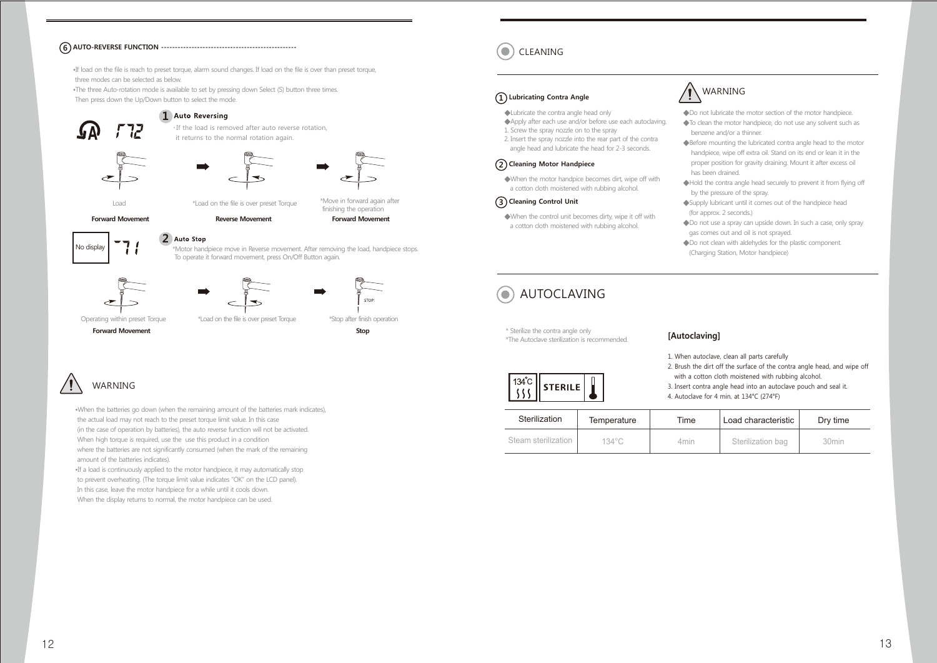## CLEANING **<sup>6</sup> AUTO-REVERSE FUNCTION -------------------------------------------------**

•If load on the file is reach to preset torque, alarm sound changes. If load on the file is over than preset torque, three modes can be selected as below.

•The three Auto-rotation mode is available to set by pressing down Select (S) button three times. Then press down the Up/Down button to select the mode.

### 1 Auto Reversing



\* If the load is removed after auto reverse rotation, it returns to the normal rotation again.





**Forward Movement** Load

**Reverse Movement Forward Movement**



\*Motor handpiece move in Reverse movement. After removing the load, handpiece stops. To operate it forward movement, press On/Off Button again. 2 Auto Stop





**Forward Movement Stop**

Operating within preset Torque \*Load on the file is over preset Torque \*Stop after finish operation

finishing the operation

# WARNING

•When the batteries go down (when the remaining amount of the batteries mark indicates), the actual load may not reach to the preset torque limit value. In this case (in the case of operation by batteries), the auto reverse function will not be activated. When high torque is required, use the use this product in a condition where the batteries are not significantly consumed (when the mark of the remaining amount of the batteries indicates).

•If a load is continuously applied to the motor handpiece, it may automatically stop to prevent overheating. (The torque limit value indicates "OK" on the LCD panel). In this case, leave the motor handpiece for a while until it cools down. When the display returns to normal, the motor handpiece can be used.

## **1 Lubricating Contra Angle**

◆Lubricate the contra angle head only

- ◆Apply after each use and/or before use each autoclaving. 1. Screw the spray nozzle on to the spray
- 2. Insert the spray nozzle into the rear part of the contra angle head and lubricate the head for 2-3 seconds.

### **2 Cleaning Motor Handpiece**

◆When the motor handpice becomes dirt, wipe off with a cotton cloth moistened with rubbing alcohol.

### **3 Cleaning Control Unit**

◆When the control unit becomes dirty, wipe it off with a cotton cloth moistened with rubbing alcohol.



### ◆Do not lubricate the motor section of the motor handpiece.

- ◆To clean the motor handpiece, do not use any solvent such as benzene and/or a thinner.
- ◆Before mounting the lubricated contra angle head to the motor handpiece, wipe off extra oil. Stand on its end or lean it in the proper position for gravity draining. Mount it after excess oil has been drained.
- ◆Hold the contra angle head securely to prevent it from flying off by the pressure of the spray.
- ◆Supply lubricant until it comes out of the handpiece head (for approx. 2 seconds.)
- ◆Do not use a spray can upside down. In such a case, only spray gas comes out and oil is not sprayed.
- ◆Do not clean with aldehydes for the plastic component. (Charging Station, Motor handpiece)

# AUTOCLAVING

\* Sterilize the contra angle only \*The Autoclave sterilization is recommended.

### **[Autoclaving]**

1. When autoclave, clean all parts carefully

- 2. Brush the dirt off the surface of the contra angle head, and wipe off with a cotton cloth moistened with rubbing alcohol.
- 3. Insert contra angle head into an autoclave pouch and seal it.
- 4. Autoclave for 4 min. at 134°C (274°F)

| Sterilization       | Temperature     | Time | Load characteristic | Dry time          |
|---------------------|-----------------|------|---------------------|-------------------|
| Steam sterilization | $134^{\circ}$ C | 4min | Sterilization bag   | 30 <sub>min</sub> |

134°C **STERILE** 

-555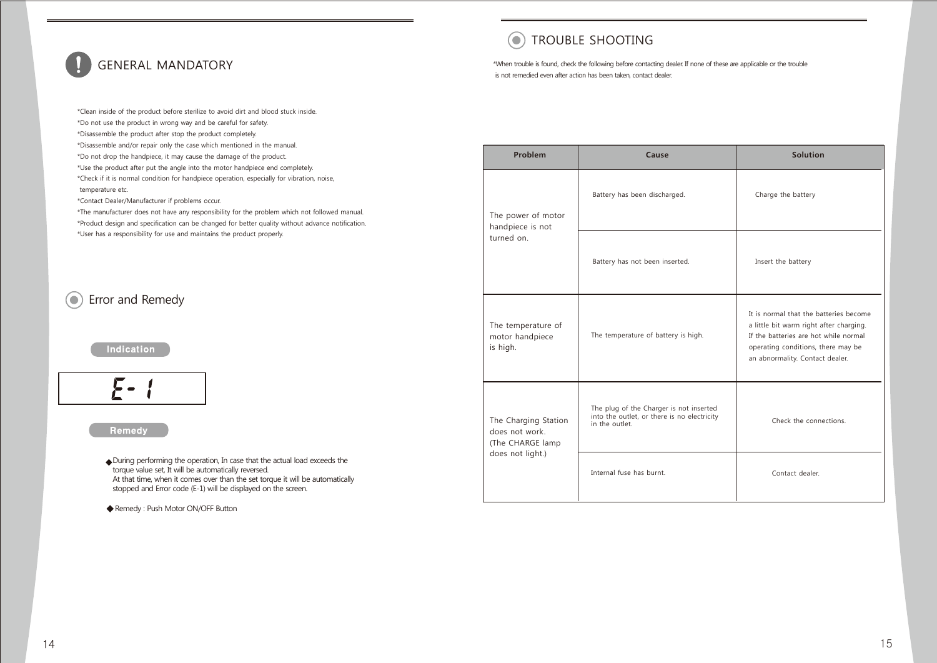# GENERAL MANDATORY

# $\odot$  TROUBLE SHOOTING

\*When trouble is found, check the following before contacting dealer. If none of these are applicable or the trouble is not remedied even after action has been taken, contact dealer.

\*Clean inside of the product before sterilize to avoid dirt and blood stuck inside. \*Do not use the product in wrong way and be careful for safety. \*Disassemble the product after stop the product completely. \*Disassemble and/or repair only the case which mentioned in the manual. \*Do not drop the handpiece, it may cause the damage of the product. \*Use the product after put the angle into the motor handpiece end completely. \*Check if it is normal condition for handpiece operation, especially for vibration, noise, temperature etc.

\*Contact Dealer/Manufacturer if problems occur.

\*The manufacturer does not have any responsibility for the problem which not followed manual. \*Product design and specification can be changed for better quality without advance notification. \*User has a responsibility for use and maintains the product properly.

#### Error and Remedy  $\odot$

### **Indication**



### Remedy

 During performing the operation, In case that the actual load exceeds the torque value set, It will be automatically reversed. At that time, when it comes over than the set torque it will be automatically stopped and Error code (E-1) will be displayed on the screen.

Remedy : Push Motor ON/OFF Button

| Problem                                                    | Cause                                                                                                    | <b>Solution</b>                                                                                                                                                                                     |  |
|------------------------------------------------------------|----------------------------------------------------------------------------------------------------------|-----------------------------------------------------------------------------------------------------------------------------------------------------------------------------------------------------|--|
| The power of motor<br>handpiece is not                     | Battery has been discharged.                                                                             | Charge the battery                                                                                                                                                                                  |  |
| turned on.                                                 | Battery has not been inserted.                                                                           | Insert the battery                                                                                                                                                                                  |  |
| The temperature of<br>motor handpiece<br>is high.          | The temperature of battery is high.                                                                      | It is normal that the batteries become<br>a little bit warm right after charging.<br>If the batteries are hot while normal<br>operating conditions, there may be<br>an abnormality. Contact dealer. |  |
| The Charging Station<br>does not work.<br>(The CHARGE lamp | The plug of the Charger is not inserted<br>into the outlet, or there is no electricity<br>in the outlet. | Check the connections.                                                                                                                                                                              |  |
| does not light.)                                           | Internal fuse has burnt.                                                                                 | Contact dealer.                                                                                                                                                                                     |  |